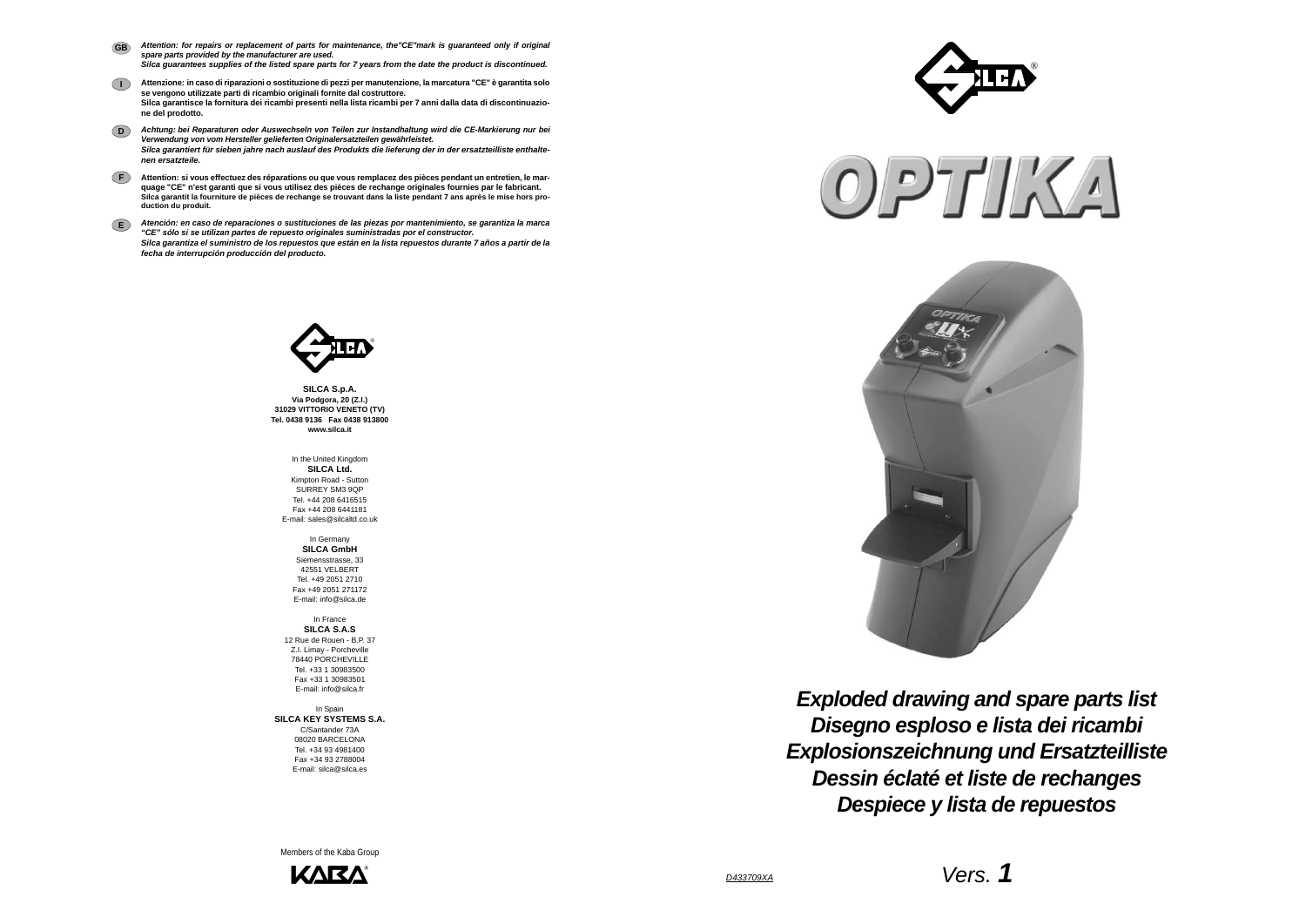*D433709XA*

*Vers. 1*

*Disegno esploso e lista dei ricambi Exploded drawing and spare parts list Explosionszeichnung und Ersatzteilliste Dessin éclaté et liste de rechanges Despiece y lista de repuestos*

**SILCA S.p.A. Via Podgora, 20 (Z.I.) 31029 VITTORIO VENETO (TV) Tel. 0438 9136 Fax 0438 913800 www.silca.it**

In the United Kingdom **SILCA Ltd.** Kimpton Road - Sutton SURREY SM3 9QP Tel. +44 208 6416515 Fax +44 208 6441181E-mail: sales@silcaltd.co.uk

In Spain **SILCA KEY SYSTEMS S.A.** C/Santander 73A 08020 BARCELONA Tel. +34 93 4981400 Fax +34 93 2788004E-mail: silca@silca.es

In Germany **SILCA GmbH** Siemensstrasse, 33 42551 VELBERT Tel. +49 2051 2710 Fax +49 2051 271172E-mail: info@silca.de

In France **SILCA S.A.S** 12 Rue de Rouen - B.P. 37 Z.I. Limay - Porcheville 78440 PORCHEVILLETel. +33 1 30983500Fax +33 1 30983501E-mail: info@silca.fr

- *Attention: for repairs or replacement of parts for maintenance, the"CE"mark is guaranteed only if original spare parts provided by the manufacturer are used. Silca guarantees supplies of the listed spare parts for 7 years from the date the product is discontinued.* **GB**
- **I Attenzione: in caso di riparazioni o sostituzione di pezzi per manutenzione, la marcatura "CE" è garantita solo se vengono utilizzate parti di ricambio originali fornite dal costruttore. Silca garantisce la fornitura dei ricambi presenti nella lista ricambi per 7 anni dalla data di discontinuazione del prodotto.**
- **D***Achtung: bei Reparaturen oder Auswechseln von Teilen zur Instandhaltung wird die CE-Markierung nur bei Verwendung von vom Hersteller gelieferten Originalersatzteilen gewährleistet. Silca garantiert für sieben jahre nach auslauf des Produkts die lieferung der in der ersatzteilliste enthaltenen ersatzteile.*
- **F Attention: si vous effectuez des réparations ou que vous remplacez des pièces pendant un entretien, le marquage "CE" n'est garanti que si vous utilisez des pièces de rechange originales fournies par le fabricant. Silca garantit la fourniture de pièces de rechange se trouvant dans la liste pendant 7 ans après le mise hors production du produit.**
- **E***Atención: en caso de reparaciones o sustituciones de las piezas por mantenimiento, se garantiza la marca "CE" sólo si se utilizan partes de repuesto originales suministradas por el constructor. Silca garantiza el suministro de los repuestos que están en la lista repuestos durante 7 años a partir de la fecha de interrupción producción del producto.*



Members of the Kaba Group







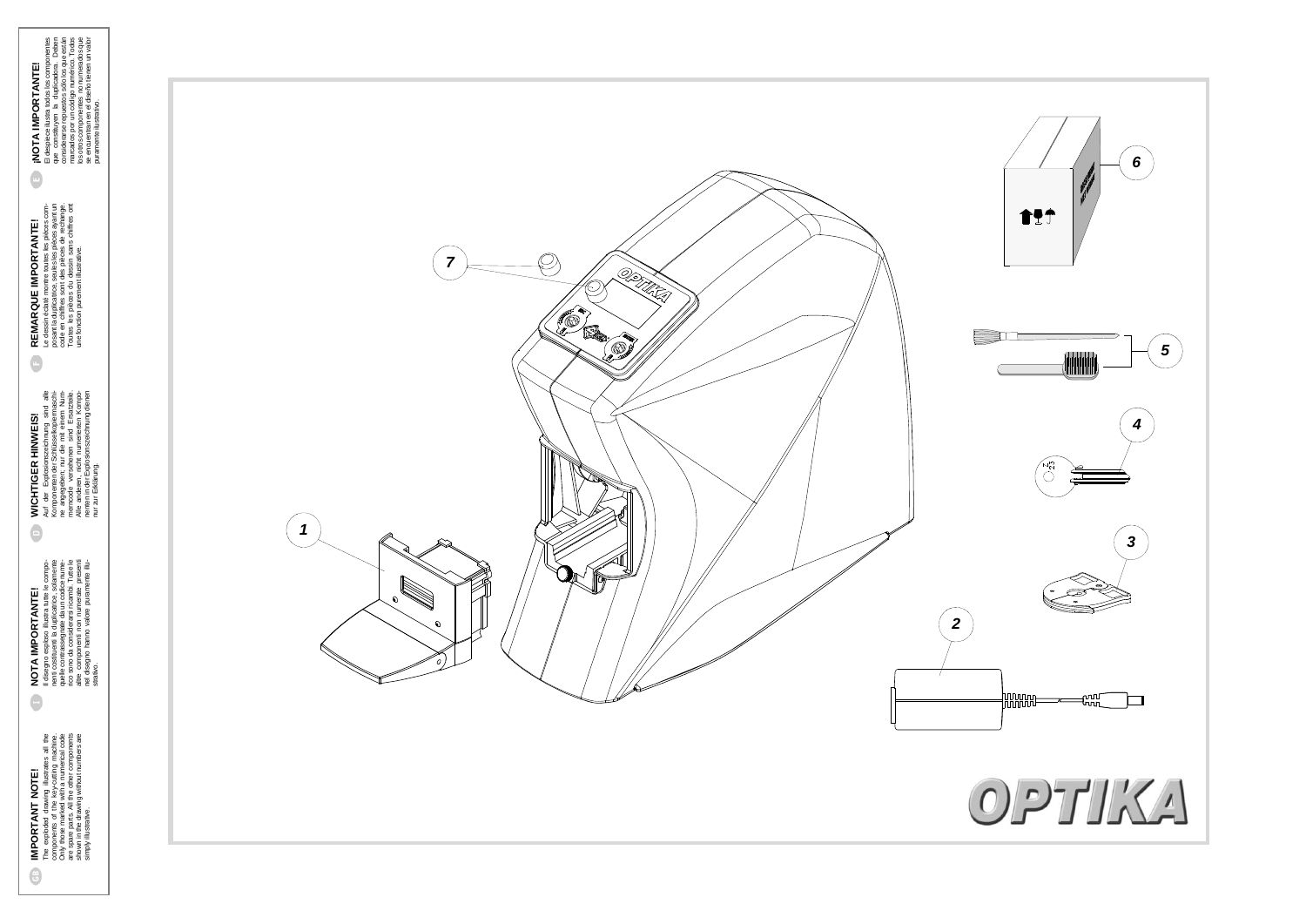